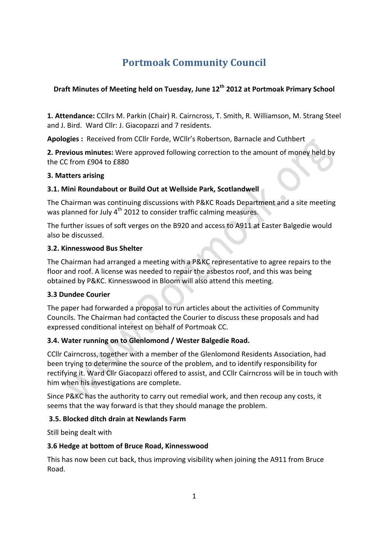# **Portmoak Community Council**

# **Draft Minutes of Meeting held on Tuesday, June 12<sup>th</sup> 2012 at Portmoak Primary School**

1. Attendance: CCllrs M. Parkin (Chair) R. Cairncross, T. Smith, R. Williamson, M. Strang Steel and J. Bird. Ward Cllr: J. Giacopazzi and 7 residents.

Apologies : Received from CCllr Forde, WCllr's Robertson, Barnacle and Cuthbert

**2. Previous minutes:** Were approved following correction to the amount of money held by the CC from £904 to £880

# **3. Matters arising**

# **3.1. Mini Roundabout or Build Out at Wellside Park, Scotlandwell**

The Chairman was continuing discussions with P&KC Roads Department and a site meeting was planned for July  $4<sup>th</sup>$  2012 to consider traffic calming measures.

The further issues of soft verges on the B920 and access to A911 at Easter Balgedie would also be discussed.

### **3.2. Kinnesswood Bus Shelter**

The Chairman had arranged a meeting with a P&KC representative to agree repairs to the floor and roof. A license was needed to repair the asbestos roof, and this was being obtained by P&KC. Kinnesswood in Bloom will also attend this meeting.

# **3.3 Dundee Courier**

The paper had forwarded a proposal to run articles about the activities of Community Councils. The Chairman had contacted the Courier to discuss these proposals and had expressed conditional interest on behalf of Portmoak CC.

# **3.4. Water running on to Glenlomond / Wester Balgedie Road.**

CCIIr Cairncross, together with a member of the Glenlomond Residents Association, had been trying to determine the source of the problem, and to identify responsibility for rectifying it. Ward Cllr Giacopazzi offered to assist, and CCllr Cairncross will be in touch with him when his investigations are complete.

Since P&KC has the authority to carry out remedial work, and then recoup any costs, it seems that the way forward is that they should manage the problem.

# **3.5. Blocked ditch drain at Newlands Farm**

Still being dealt with

# **3.6 Hedge at bottom of Bruce Road, Kinnesswood**

This has now been cut back, thus improving visibility when joining the A911 from Bruce Road.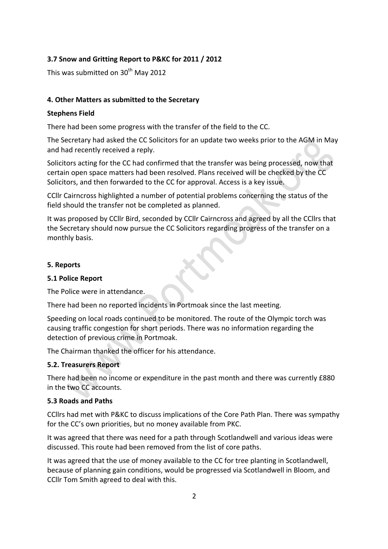### **3.7 Snow and Gritting Report to P&KC for 2011 / 2012**

This was submitted on  $30<sup>th</sup>$  May 2012

#### **4. Other Matters as submitted to the Secretary**

#### **Stephens Field**

There had been some progress with the transfer of the field to the CC.

The Secretary had asked the CC Solicitors for an update two weeks prior to the AGM in May and had recently received a reply.

Solicitors acting for the CC had confirmed that the transfer was being processed, now that certain open space matters had been resolved. Plans received will be checked by the CC Solicitors, and then forwarded to the CC for approval. Access is a key issue.

CCIIr Cairncross highlighted a number of potential problems concerning the status of the field should the transfer not be completed as planned.

It was proposed by CCIIr Bird, seconded by CCIIr Cairncross and agreed by all the CCIIrs that the Secretary should now pursue the CC Solicitors regarding progress of the transfer on a monthly basis.

#### **5. Reports**

#### **5.1 Police Report**

The Police were in attendance.

There had been no reported incidents in Portmoak since the last meeting.

Speeding on local roads continued to be monitored. The route of the Olympic torch was causing traffic congestion for short periods. There was no information regarding the detection of previous crime in Portmoak.

The Chairman thanked the officer for his attendance.

#### **5.2. Treasurers Report**

There had been no income or expenditure in the past month and there was currently £880 in the two CC accounts.

#### **5.3 Roads and Paths**

CCllrs had met with P&KC to discuss implications of the Core Path Plan. There was sympathy for the CC's own priorities, but no money available from PKC.

It was agreed that there was need for a path through Scotlandwell and various ideas were discussed. This route had been removed from the list of core paths.

It was agreed that the use of money available to the CC for tree planting in Scotlandwell, because of planning gain conditions, would be progressed via Scotlandwell in Bloom, and CCIIr Tom Smith agreed to deal with this.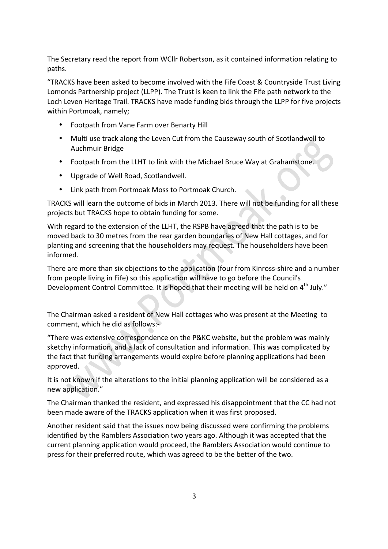The Secretary read the report from WCIIr Robertson, as it contained information relating to paths. 

"TRACKS have been asked to become involved with the Fife Coast & Countryside Trust Living Lomonds Partnership project (LLPP). The Trust is keen to link the Fife path network to the Loch Leven Heritage Trail. TRACKS have made funding bids through the LLPP for five projects within Portmoak, namely:

- Footpath from Vane Farm over Benarty Hill
- Multi use track along the Leven Cut from the Causeway south of Scotlandwell to Auchmuir Bridge
- Footpath from the LLHT to link with the Michael Bruce Way at Grahamstone.
- Upgrade of Well Road, Scotlandwell.
- Link path from Portmoak Moss to Portmoak Church.

TRACKS will learn the outcome of bids in March 2013. There will not be funding for all these projects but TRACKS hope to obtain funding for some.

With regard to the extension of the LLHT, the RSPB have agreed that the path is to be moved back to 30 metres from the rear garden boundaries of New Hall cottages, and for planting and screening that the householders may request. The householders have been informed. 

There are more than six objections to the application (four from Kinross-shire and a number from people living in Fife) so this application will have to go before the Council's Development Control Committee. It is hoped that their meeting will be held on 4<sup>th</sup> July."

The Chairman asked a resident of New Hall cottages who was present at the Meeting to comment, which he did as follows:-

"There was extensive correspondence on the P&KC website, but the problem was mainly sketchy information, and a lack of consultation and information. This was complicated by the fact that funding arrangements would expire before planning applications had been approved.

It is not known if the alterations to the initial planning application will be considered as a new application."

The Chairman thanked the resident, and expressed his disappointment that the CC had not been made aware of the TRACKS application when it was first proposed.

Another resident said that the issues now being discussed were confirming the problems identified by the Ramblers Association two years ago. Although it was accepted that the current planning application would proceed, the Ramblers Association would continue to press for their preferred route, which was agreed to be the better of the two.